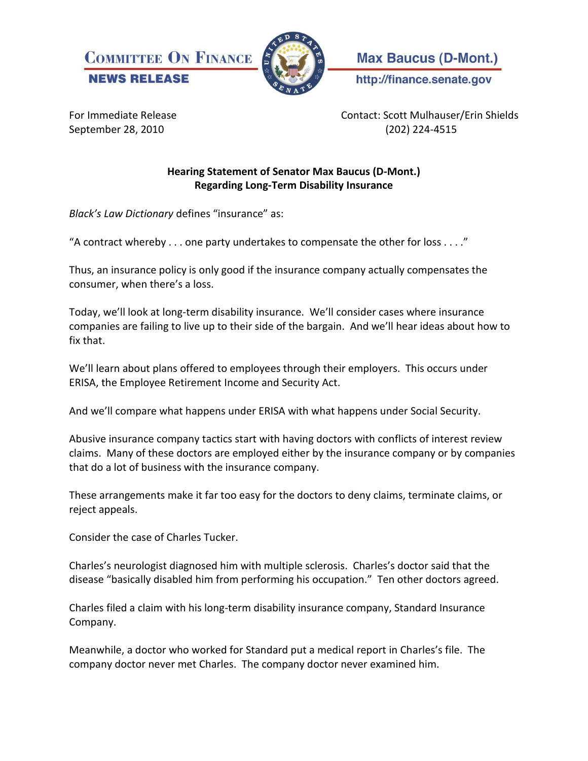



**Max Baucus (D-Mont.)** 

http://finance.senate.gov

For Immediate Release Contact: Scott Mulhauser/Erin Shields September 28, 2010 (202) 224-4515

## **Hearing Statement of Senator Max Baucus (D-Mont.) Regarding Long-Term Disability Insurance**

*Black's Law Dictionary* defines "insurance" as:

"A contract whereby  $\dots$  one party undertakes to compensate the other for loss  $\dots$ ."

Thus, an insurance policy is only good if the insurance company actually compensates the consumer, when there's a loss.

Today, we'll look at long-term disability insurance. We'll consider cases where insurance companies are failing to live up to their side of the bargain. And we'll hear ideas about how to fix that.

We'll learn about plans offered to employees through their employers. This occurs under ERISA, the Employee Retirement Income and Security Act.

And we'll compare what happens under ERISA with what happens under Social Security.

Abusive insurance company tactics start with having doctors with conflicts of interest review claims. Many of these doctors are employed either by the insurance company or by companies that do a lot of business with the insurance company.

These arrangements make it far too easy for the doctors to deny claims, terminate claims, or reject appeals.

Consider the case of Charles Tucker.

Charles's neurologist diagnosed him with multiple sclerosis. Charles's doctor said that the disease "basically disabled him from performing his occupation." Ten other doctors agreed.

Charles filed a claim with his long-term disability insurance company, Standard Insurance Company.

Meanwhile, a doctor who worked for Standard put a medical report in Charles's file. The company doctor never met Charles. The company doctor never examined him.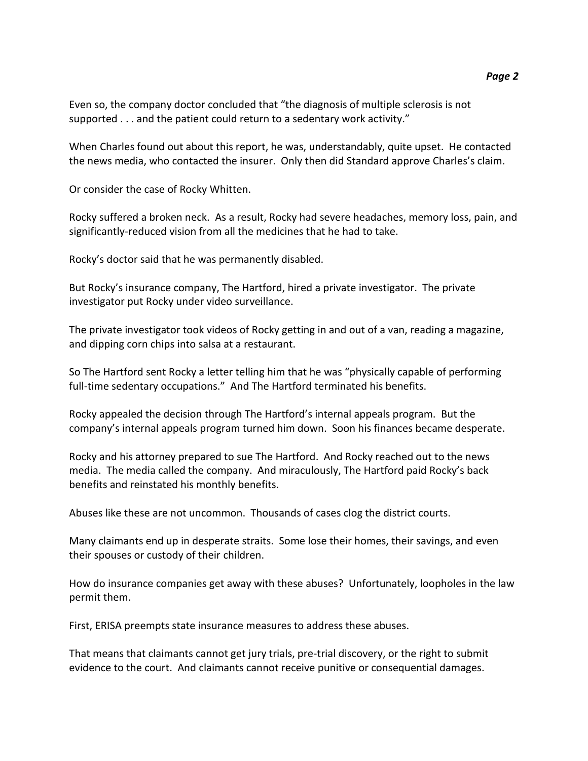Even so, the company doctor concluded that "the diagnosis of multiple sclerosis is not supported . . . and the patient could return to a sedentary work activity."

When Charles found out about this report, he was, understandably, quite upset. He contacted the news media, who contacted the insurer. Only then did Standard approve Charles's claim.

Or consider the case of Rocky Whitten.

Rocky suffered a broken neck. As a result, Rocky had severe headaches, memory loss, pain, and significantly-reduced vision from all the medicines that he had to take.

Rocky's doctor said that he was permanently disabled.

But Rocky's insurance company, The Hartford, hired a private investigator. The private investigator put Rocky under video surveillance.

The private investigator took videos of Rocky getting in and out of a van, reading a magazine, and dipping corn chips into salsa at a restaurant.

So The Hartford sent Rocky a letter telling him that he was "physically capable of performing full-time sedentary occupations." And The Hartford terminated his benefits.

Rocky appealed the decision through The Hartford's internal appeals program. But the company's internal appeals program turned him down. Soon his finances became desperate.

Rocky and his attorney prepared to sue The Hartford. And Rocky reached out to the news media. The media called the company. And miraculously, The Hartford paid Rocky's back benefits and reinstated his monthly benefits.

Abuses like these are not uncommon. Thousands of cases clog the district courts.

Many claimants end up in desperate straits. Some lose their homes, their savings, and even their spouses or custody of their children.

How do insurance companies get away with these abuses? Unfortunately, loopholes in the law permit them.

First, ERISA preempts state insurance measures to address these abuses.

That means that claimants cannot get jury trials, pre-trial discovery, or the right to submit evidence to the court. And claimants cannot receive punitive or consequential damages.